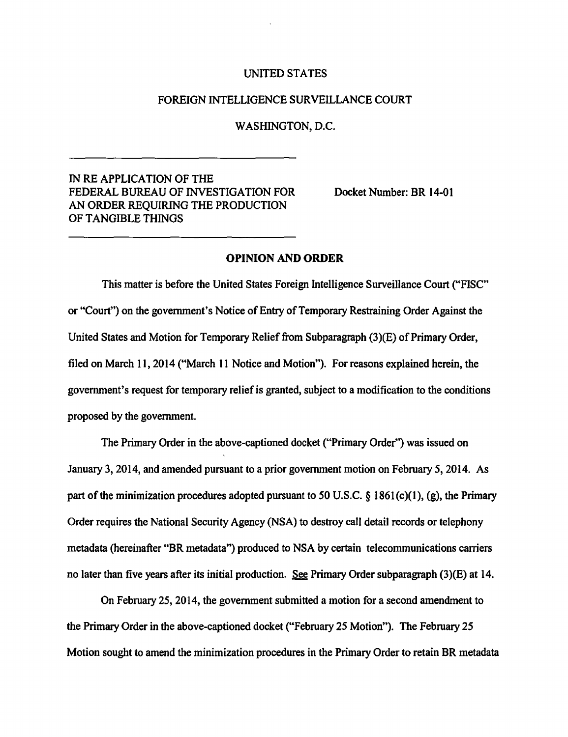#### UNITED STATES

### FOREIGN INTELLIGENCE SURVEILLANCE COURT

### WASHINGTON, D.C.

# IN RE APPLICATION OF THE FEDERAL BUREAU OF INVESTIGATION FOR AN ORDER REQUIRING THE PRODUCTION OF TANGIBLE THINGS

Docket Number: BR 14-01

## OPINION AND ORDER

This matter is before the United States Foreign Intelligence Surveillance Court ("FISC" or "Court") on the government's Notice of Entry of Temporary Restraining Order Against the United States and Motion for Temporary Relief from Subparagraph (3)(E) of Primary Order, filed on March 11, 2014 ("March 11 Notice and Motion"). For reasons explained herein, the government's request for temporary relief is granted, subject to a modification to the conditions proposed by the government.

The Primary Order in the above-captioned docket ("Primary Order") was issued on January 3, 2014, and amended pursuant to a prior government motion on February *5,* 2014. As part of the minimization procedures adopted pursuant to 50 U.S.C. § 1861(c)(1), (g), the Primary Order requires the National Security Agency (NSA) to destroy call detail records or telephony metadata (hereinafter "BR metadata") produced to NSA by certain telecommunications carriers no later than five years after its initial production. See Primary Order subparagraph (3)(E) at 14.

On February 25, 2014, the government submitted a motion for a second amendment to the Primary Order in the above-captioned docket ("February 25 Motion"). The February 25 Motion sought to amend the minimization procedures in the Primary Order to retain BR metadata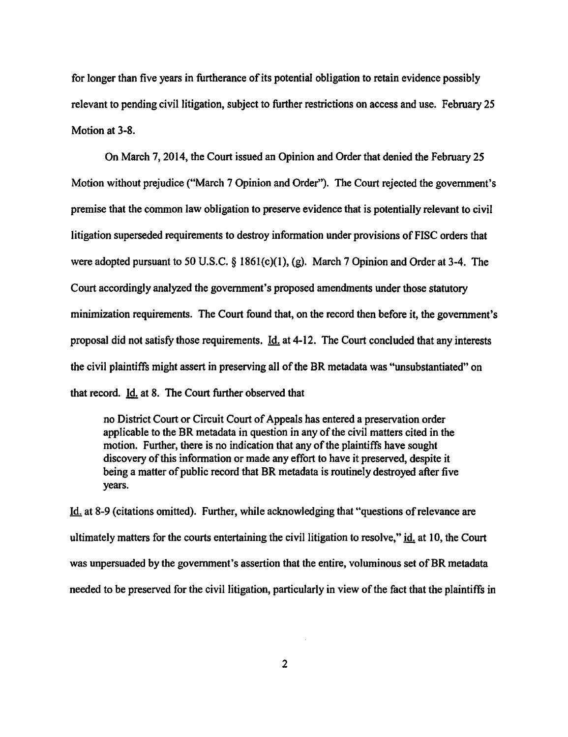for longer than five years in furtherance of its potential obligation to retain evidence possibly relevant to pending civil litigation, subject to further restrictions on access and use. February 25 Motion at 3-8.

On March 7, 2014, the Court issued an Opinion and Order that denied the February 25 Motion without prejudice ("March 7 Opinion and Order''). The Court rejected the government's premise that the common law obligation to preserve evidence that is potentially relevant to civil litigation superseded requirements to destroy infonnation under provisions of FISC orders that were adopted pursuant to 50 U.S.C. § 186I(c)(l), (g). March 7 Opinion and Order at 3-4. The Court accordingly analyzed the government's proposed amendments under those statutory minimization requirements. The Court found that, on the record then before it, the government's proposal did not satisfy those requirements. Id. at 4-12. The Court concluded that any interests the civil plaintiffs might assert in preserving all of the BR metadata was "unsubstantiated" on that record. Id. at 8. The Court further observed that

no District Court or Circuit Court of Appeals has entered a preservation order applicable to the BR metadata in question in any of the civil matters cited in the motion. Further, there is no indication that any of the plaintiffs have sought discovery of this information or made any effort to have it preserved, despite it being a matter of public record that BR metadata is routinely destroyed after five years.

Id. at 8-9 (citations omitted). Further, while acknowledging that "questions ofrelevance are ultimately matters for the courts entertaining the civil litigation to resolve," id. at IO, the Court was unpersuaded by the government's assertion that the entire, voluminous set of BR metadata needed to be preserved for the civil litigation, particularly in view of the fact that the plaintiffs in

2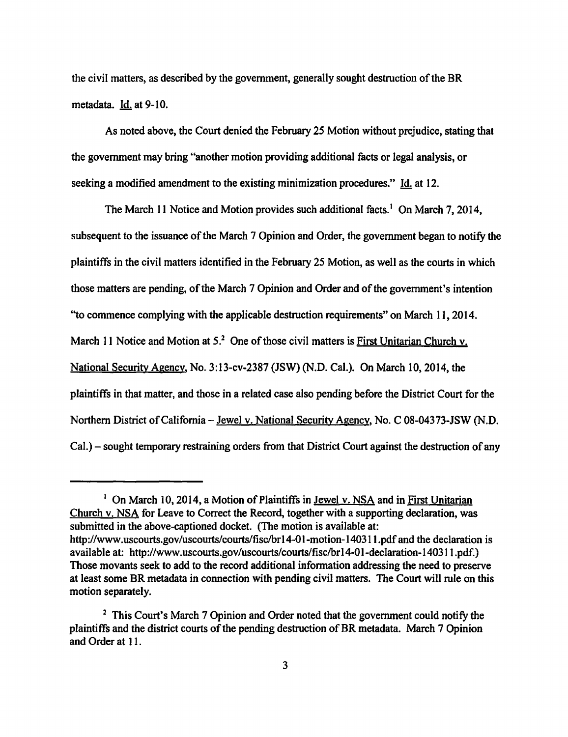the civil matters, as described by the government, generally sought destruction of the BR metadata. Id. at 9-10.

As noted above, the Court denied the February 25 Motion without prejudice, stating that the government may bring "another motion providing additional facts or legal analysis, or seeking a modified amendment to the existing minimization procedures." Id. at 12.

The March 11 Notice and Motion provides such additional facts.<sup>1</sup> On March 7, 2014, subsequent to the issuance of the March 7 Opinion and Order, the government began to notify the plaintiffs in the civil matters identified in the February 25 Motion, as well as the courts in which those matters are pending, of the March 7 Opinion and Order and of the government's intention ''to commence complying with the applicable destruction requirements" on March 11, 2014. March 11 Notice and Motion at  $5<sup>2</sup>$  One of those civil matters is First Unitarian Church v. National Security Agency, No. 3:13-cv-2387 (JSW) (N.D. Cal.). On March 10, 2014, the plaintiffs in that matter, and those in a related case also pending before the District Court for the Northern District of California- Jewel v. National Security Agency, No. C 08-04373-JSW (N.D. Cal.) - sought temporary restraining orders from that District Court against the destruction of any

<sup>&</sup>lt;sup>1</sup> On March 10, 2014, a Motion of Plaintiffs in <u>Jewel v. NSA</u> and in First Unitarian Church v. NSA for Leave to Correct the Record, together with a supporting declaration, was submitted in the above-captioned docket. (The motion is available at: http://www.uscourts.gov/uscourts/courts/fisc/brl 4-01-motion-140311.pdf and the declaration is available at: http://www.uscourts.gov/uscourts/courts/fisc/brl 4-01-declaration-14031 1.pdf.) Those movants seek to add to the record additional information addressing the need to preserve at least some BR metadata in connection with pending civil matters. The Court will rule on this motion separately.

<sup>&</sup>lt;sup>2</sup> This Court's March 7 Opinion and Order noted that the government could notify the plaintiffs and the district courts of the pending destruction of BR metadata. March 7 Opinion and Order at 11.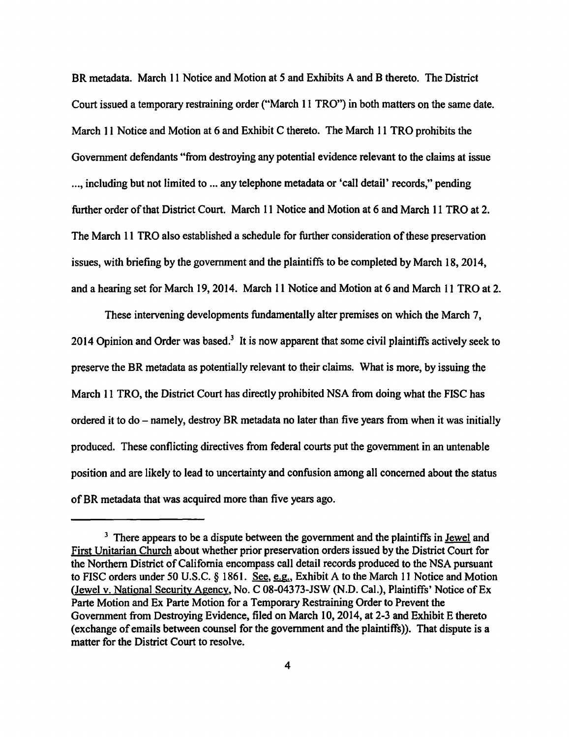BR metadata. March 11 Notice and Motion at *5* and Exhibits A and B thereto. The District Court issued a temporary restraining order ("March 11 TRO") in both matters on the same date. March 11 Notice and Motion at 6 and Exhibit C thereto. The March 11 TRO prohibits the Government defendants "from destroying any potential evidence relevant to the claims at issue ... , including but not limited to ... any telephone metadata or 'call detail' records," pending further order of that District Court. March 11 Notice and Motion at 6 and March 11 TRO at 2. The March 11 TRO also established a schedule for further consideration of these preservation issues, with briefing by the government and the plaintiffs to be completed by March 18, 2014, and a hearing set for March 19, 2014. March 11 Notice and Motion at 6 and March 11 TRO at 2.

These intervening developments fundamentally alter premises on which the March 7, 2014 Opinion and Order was based.<sup>3</sup> It is now apparent that some civil plaintiffs actively seek to preserve the BR metadata as potentially relevant to their claims. What is more, by issuing the March 11 TRO, the District Court has directly prohibited NSA from doing what the FISC has ordered it to  $do$  - namely, destroy BR metadata no later than five years from when it was initially produced. These conflicting directives from federal courts put the government in an untenable position and are likely to lead to uncertainty and confusion among all concerned about the status of BR metadata that was acquired more than five years ago.

<sup>&</sup>lt;sup>3</sup> There appears to be a dispute between the government and the plaintiffs in <u>Jewel</u> and First Unitarian Church about whether prior preservation orders issued by the District Court for the Northern District of California encompass call detail records produced to the NSA pursuant to FISC orders under 50 U.S.C. § 1861. See, e.g., Exhibit A to the March 11 Notice and Motion (Jewel v. National Security Agency, No. C 08-04373-JSW (N.D. Cal.), Plaintiffs' Notice of Ex Parte Motion and Ex Parte Motion for a Temporary Restraining Order to Prevent the Government from Destroying Evidence, filed on March 10, 2014, at 2-3 and Exhibit E thereto (exchange of emails between counsel for the government and the plaintiffs)). That dispute is a matter for the District Court to resolve.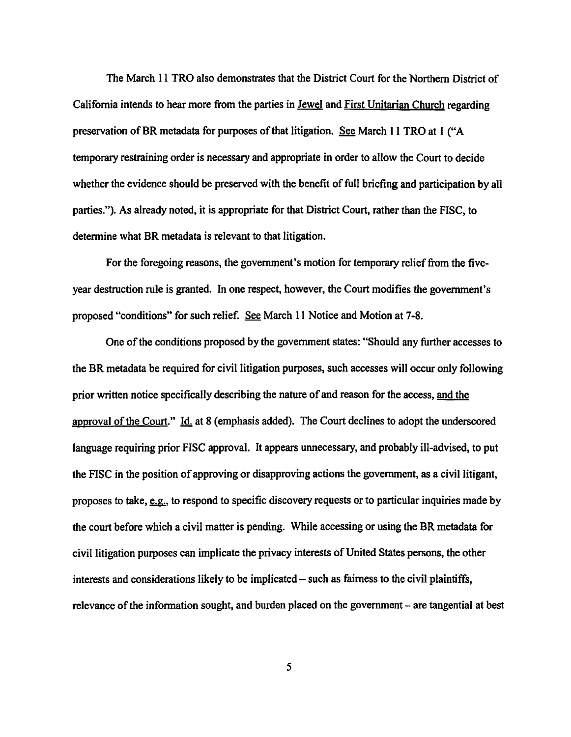The March 11 TRO also demonstrates that the District Court for the Northern District of California intends to hear more from the parties in Jewel and First Unitarian Church regarding preservation of BR metadata for purposes of that litigation. See March 11 TRO at I ("A temporary restraining order is necessary and appropriate in order to allow the Court to decide whether the evidence should be preserved with the benefit of full briefing and participation by all parties."). As already noted, it is appropriate for that District Court, rather than the FISC, to determine what BR metadata is relevant to that litigation.

For the foregoing reasons, the government's motion for temporary relief from the fiveyear destruction rule is granted. In one respect, however, the Court modifies the government's proposed "conditions" for such relief. See March 11 Notice and Motion at 7-8.

One of the conditions proposed by the government states: "Should any further accesses to the BR metadata be required for civil litigation purposes, such accesses will occur only following prior written notice specifically describing the nature of and reason for the access, and the approval of the Court." Id. at 8 (emphasis added). The Court declines to adopt the underscored language requiring prior FISC approval. It appears unnecessary, and probably ill-advised, to put the FISC in the position of approving or disapproving actions the government, as a civil litigant, proposes to take, <u>e.g.</u>, to respond to specific discovery requests or to particular inquiries made by the court before which a civil matter is pending. While accessing or using the BR metadata for civil litigation purposes can implicate the privacy interests of United States persons, the other interests and considerations likely to be implicated – such as fairness to the civil plaintiffs, relevance of the information sought, and burden placed on the government – are tangential at best

5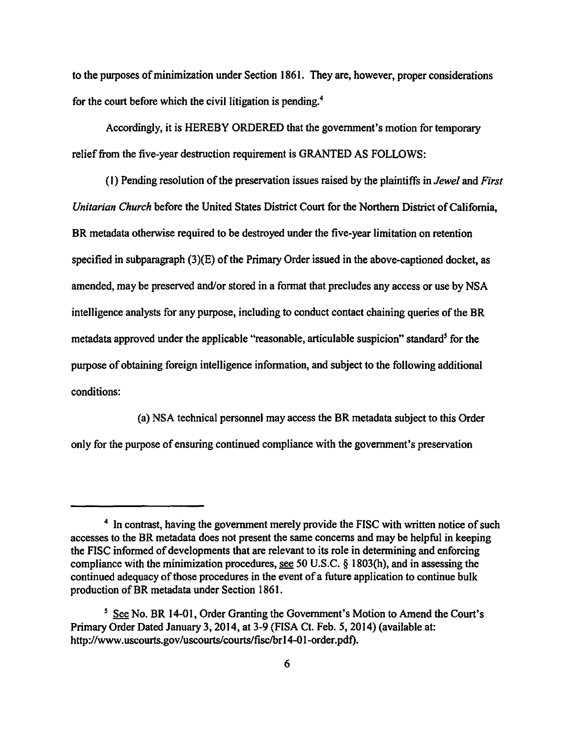to the pwposes of minimization under Section 1861. They are, however, proper considerations for the court before which the civil litigation is pending.4

Accordingly, it is HEREBY ORDERED that the government's motion for temporary relief from the five-year destruction requirement is GRANTED AS FOLLOWS:

( 1) Pending resolution of the preservation issues raised by the plaintiffs in *Jewel* and *First Unitarian Church* before the United States District Court for the Northern District of California, BR metadata otherwise required to be destroyed under the five-year limitation on retention specified in subparagraph (3)(E) of the Primary Order issued in the above-captioned docket, as amended, may be preserved and/or stored in a format that precludes any access or use by NSA intelligence analysts for any purpose, including to conduct contact chaining queries of the BR metadata approved under the applicable "reasonable, articulable suspicion" standard<sup>5</sup> for the purpose of obtaining foreign intelligence information, and subject to the following additional conditions:

(a) NSA technical personnel may access the BR metadata subject to this Order only for the purpose of ensuring continued compliance with the government's preservation

<sup>&</sup>lt;sup>4</sup> In contrast, having the government merely provide the FISC with written notice of such accesses to the BR metadata does not present the same concerns and may be helpful in keeping the FISC informed of developments that are relevant to its role in determining and enforcing compliance with the minimization procedures, see 50 U.S.C. § l 803(h), and in assessing the continued adequacy of those procedures in the event of a future application to continue bulk production of BR metadata under Section 1861.

<sup>&</sup>lt;sup>5</sup> See No. BR 14-01, Order Granting the Government's Motion to Amend the Court's Primary Order Dated January 3, 2014, at 3-9 (FISA Ct. Feb. 5, 2014) (available at: http://www.uscourts.gov/uscourts/courts/fisc/br 14-01-order.pdf).